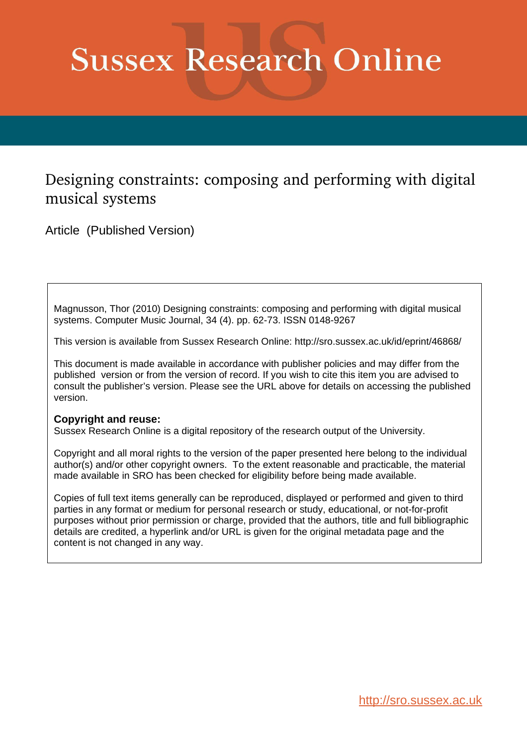# **Sussex Research Online**

### Designing constraints: composing and performing with digital musical systems

Article (Published Version)

Magnusson, Thor (2010) Designing constraints: composing and performing with digital musical systems. Computer Music Journal, 34 (4). pp. 62-73. ISSN 0148-9267

This version is available from Sussex Research Online: http://sro.sussex.ac.uk/id/eprint/46868/

This document is made available in accordance with publisher policies and may differ from the published version or from the version of record. If you wish to cite this item you are advised to consult the publisher's version. Please see the URL above for details on accessing the published version.

#### **Copyright and reuse:**

Sussex Research Online is a digital repository of the research output of the University.

Copyright and all moral rights to the version of the paper presented here belong to the individual author(s) and/or other copyright owners. To the extent reasonable and practicable, the material made available in SRO has been checked for eligibility before being made available.

Copies of full text items generally can be reproduced, displayed or performed and given to third parties in any format or medium for personal research or study, educational, or not-for-profit purposes without prior permission or charge, provided that the authors, title and full bibliographic details are credited, a hyperlink and/or URL is given for the original metadata page and the content is not changed in any way.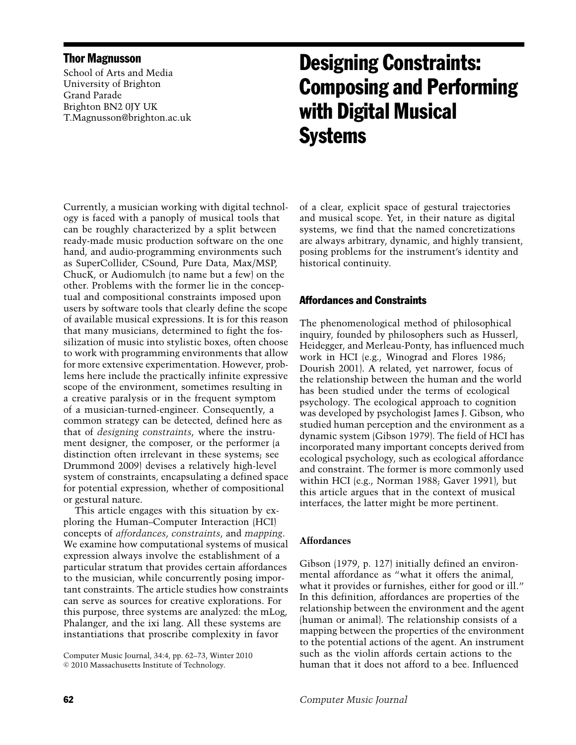#### Thor Magnusson

School of Arts and Media University of Brighton Grand Parade Brighton BN2 0JY UK T.Magnusson@brighton.ac.uk

## Designing Constraints: Composing and Performing with Digital Musical **Systems**

Currently, a musician working with digital technology is faced with a panoply of musical tools that can be roughly characterized by a split between ready-made music production software on the one hand, and audio-programming environments such as SuperCollider, CSound, Pure Data, Max/MSP, ChucK, or Audiomulch (to name but a few) on the other. Problems with the former lie in the conceptual and compositional constraints imposed upon users by software tools that clearly define the scope of available musical expressions. It is for this reason that many musicians, determined to fight the fossilization of music into stylistic boxes, often choose to work with programming environments that allow for more extensive experimentation. However, problems here include the practically infinite expressive scope of the environment, sometimes resulting in a creative paralysis or in the frequent symptom of a musician-turned-engineer. Consequently, a common strategy can be detected, defined here as that of *designing constraints*, where the instrument designer, the composer, or the performer (a distinction often irrelevant in these systems; see Drummond 2009) devises a relatively high-level system of constraints, encapsulating a defined space for potential expression, whether of compositional or gestural nature.

This article engages with this situation by exploring the Human–Computer Interaction (HCI) concepts of *affordances*, *constraints*, and *mapping*. We examine how computational systems of musical expression always involve the establishment of a particular stratum that provides certain affordances to the musician, while concurrently posing important constraints. The article studies how constraints can serve as sources for creative explorations. For this purpose, three systems are analyzed: the mLog, Phalanger, and the ixi lang. All these systems are instantiations that proscribe complexity in favor

Computer Music Journal, 34:4, pp. 62–73, Winter 2010  $© 2010 Massachusetts Institute of Technology.$ 

of a clear, explicit space of gestural trajectories and musical scope. Yet, in their nature as digital systems, we find that the named concretizations are always arbitrary, dynamic, and highly transient, posing problems for the instrument's identity and historical continuity.

#### Affordances and Constraints

The phenomenological method of philosophical inquiry, founded by philosophers such as Husserl, Heidegger, and Merleau-Ponty, has influenced much work in HCI (e.g., Winograd and Flores 1986; Dourish 2001). A related, yet narrower, focus of the relationship between the human and the world has been studied under the terms of ecological psychology. The ecological approach to cognition was developed by psychologist James J. Gibson, who studied human perception and the environment as a dynamic system (Gibson 1979). The field of HCI has incorporated many important concepts derived from ecological psychology, such as ecological affordance and constraint. The former is more commonly used within HCI (e.g., Norman 1988; Gaver 1991), but this article argues that in the context of musical interfaces, the latter might be more pertinent.

#### **Affordances**

Gibson (1979, p. 127) initially defined an environmental affordance as "what it offers the animal, what it provides or furnishes, either for good or ill." In this definition, affordances are properties of the relationship between the environment and the agent (human or animal). The relationship consists of a mapping between the properties of the environment to the potential actions of the agent. An instrument such as the violin affords certain actions to the human that it does not afford to a bee. Influenced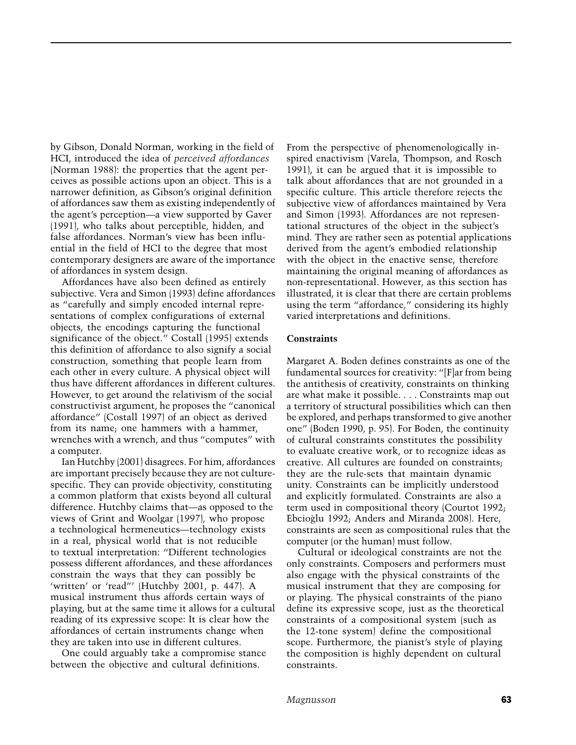by Gibson, Donald Norman, working in the field of HCI, introduced the idea of *perceived affordances* (Norman 1988): the properties that the agent perceives as possible actions upon an object. This is a narrower definition, as Gibson's original definition of affordances saw them as existing independently of the agent's perception—a view supported by Gaver (1991), who talks about perceptible, hidden, and false affordances. Norman's view has been influential in the field of HCI to the degree that most contemporary designers are aware of the importance of affordances in system design.

Affordances have also been defined as entirely subjective. Vera and Simon (1993) define affordances as "carefully and simply encoded internal representations of complex configurations of external objects, the encodings capturing the functional significance of the object." Costall (1995) extends this definition of affordance to also signify a social construction, something that people learn from each other in every culture. A physical object will thus have different affordances in different cultures. However, to get around the relativism of the social constructivist argument, he proposes the "canonical affordance" (Costall 1997) of an object as derived from its name; one hammers with a hammer, wrenches with a wrench, and thus "computes" with a computer.

Ian Hutchby (2001) disagrees. For him, affordances are important precisely because they are not culturespecific. They can provide objectivity, constituting a common platform that exists beyond all cultural difference. Hutchby claims that—as opposed to the views of Grint and Woolgar (1997), who propose a technological hermeneutics—technology exists in a real, physical world that is not reducible to textual interpretation: "Different technologies possess different affordances, and these affordances constrain the ways that they can possibly be 'written' or 'read"' (Hutchby 2001, p. 447). A musical instrument thus affords certain ways of playing, but at the same time it allows for a cultural reading of its expressive scope: It is clear how the affordances of certain instruments change when they are taken into use in different cultures.

One could arguably take a compromise stance between the objective and cultural definitions.

From the perspective of phenomenologically inspired enactivism (Varela, Thompson, and Rosch 1991), it can be argued that it is impossible to talk about affordances that are not grounded in a specific culture. This article therefore rejects the subjective view of affordances maintained by Vera and Simon (1993). Affordances are not representational structures of the object in the subject's mind. They are rather seen as potential applications derived from the agent's embodied relationship with the object in the enactive sense, therefore maintaining the original meaning of affordances as non-representational. However, as this section has illustrated, it is clear that there are certain problems using the term "affordance," considering its highly varied interpretations and definitions.

#### **Constraints**

Margaret A. Boden defines constraints as one of the fundamental sources for creativity: "[F]ar from being the antithesis of creativity, constraints on thinking are what make it possible. . . . Constraints map out a territory of structural possibilities which can then be explored, and perhaps transformed to give another one" (Boden 1990, p. 95). For Boden, the continuity of cultural constraints constitutes the possibility to evaluate creative work, or to recognize ideas as creative. All cultures are founded on constraints; they are the rule-sets that maintain dynamic unity. Constraints can be implicitly understood and explicitly formulated. Constraints are also a term used in compositional theory (Courtot 1992; Ebcioglu 1992; Anders and Miranda 2008). Here, ` constraints are seen as compositional rules that the computer (or the human) must follow.

Cultural or ideological constraints are not the only constraints. Composers and performers must also engage with the physical constraints of the musical instrument that they are composing for or playing. The physical constraints of the piano define its expressive scope, just as the theoretical constraints of a compositional system (such as the 12-tone system) define the compositional scope. Furthermore, the pianist's style of playing the composition is highly dependent on cultural constraints.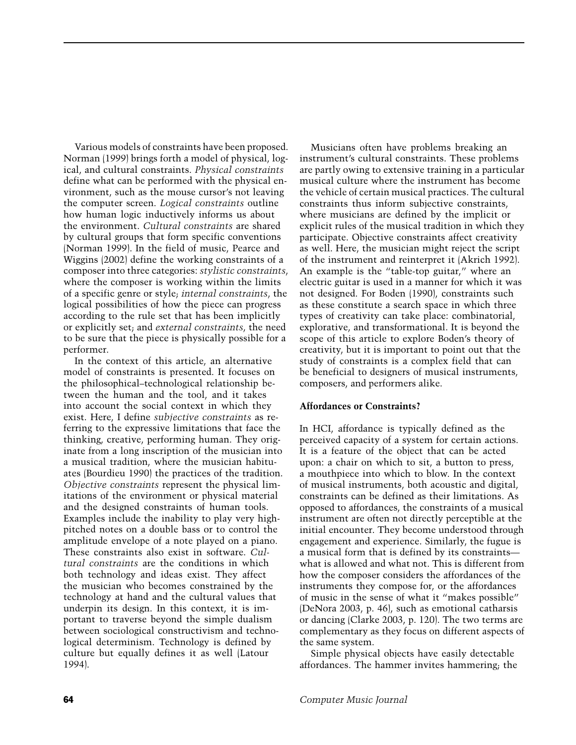Various models of constraints have been proposed. Norman (1999) brings forth a model of physical, logical, and cultural constraints. *Physical constraints* define what can be performed with the physical environment, such as the mouse cursor's not leaving the computer screen. *Logical constraints* outline how human logic inductively informs us about the environment. *Cultural constraints* are shared by cultural groups that form specific conventions (Norman 1999). In the field of music, Pearce and Wiggins (2002) define the working constraints of a composer into three categories: *stylistic constraints*, where the composer is working within the limits of a specific genre or style; *internal constraints*, the logical possibilities of how the piece can progress according to the rule set that has been implicitly or explicitly set; and *external constraints*, the need to be sure that the piece is physically possible for a performer.

In the context of this article, an alternative model of constraints is presented. It focuses on the philosophical–technological relationship between the human and the tool, and it takes into account the social context in which they exist. Here, I define *subjective constraints* as referring to the expressive limitations that face the thinking, creative, performing human. They originate from a long inscription of the musician into a musical tradition, where the musician habituates (Bourdieu 1990) the practices of the tradition. *Objective constraints* represent the physical limitations of the environment or physical material and the designed constraints of human tools. Examples include the inability to play very highpitched notes on a double bass or to control the amplitude envelope of a note played on a piano. These constraints also exist in software. *Cultural constraints* are the conditions in which both technology and ideas exist. They affect the musician who becomes constrained by the technology at hand and the cultural values that underpin its design. In this context, it is important to traverse beyond the simple dualism between sociological constructivism and technological determinism. Technology is defined by culture but equally defines it as well (Latour 1994).

Musicians often have problems breaking an instrument's cultural constraints. These problems are partly owing to extensive training in a particular musical culture where the instrument has become the vehicle of certain musical practices. The cultural constraints thus inform subjective constraints, where musicians are defined by the implicit or explicit rules of the musical tradition in which they participate. Objective constraints affect creativity as well. Here, the musician might reject the script of the instrument and reinterpret it (Akrich 1992). An example is the "table-top guitar," where an electric guitar is used in a manner for which it was not designed. For Boden (1990), constraints such as these constitute a search space in which three types of creativity can take place: combinatorial, explorative, and transformational. It is beyond the scope of this article to explore Boden's theory of creativity, but it is important to point out that the study of constraints is a complex field that can be beneficial to designers of musical instruments, composers, and performers alike.

#### **Affordances or Constraints?**

In HCI, affordance is typically defined as the perceived capacity of a system for certain actions. It is a feature of the object that can be acted upon: a chair on which to sit, a button to press, a mouthpiece into which to blow. In the context of musical instruments, both acoustic and digital, constraints can be defined as their limitations. As opposed to affordances, the constraints of a musical instrument are often not directly perceptible at the initial encounter. They become understood through engagement and experience. Similarly, the fugue is a musical form that is defined by its constraints what is allowed and what not. This is different from how the composer considers the affordances of the instruments they compose for, or the affordances of music in the sense of what it "makes possible" (DeNora 2003, p. 46), such as emotional catharsis or dancing (Clarke 2003, p. 120). The two terms are complementary as they focus on different aspects of the same system.

Simple physical objects have easily detectable affordances. The hammer invites hammering; the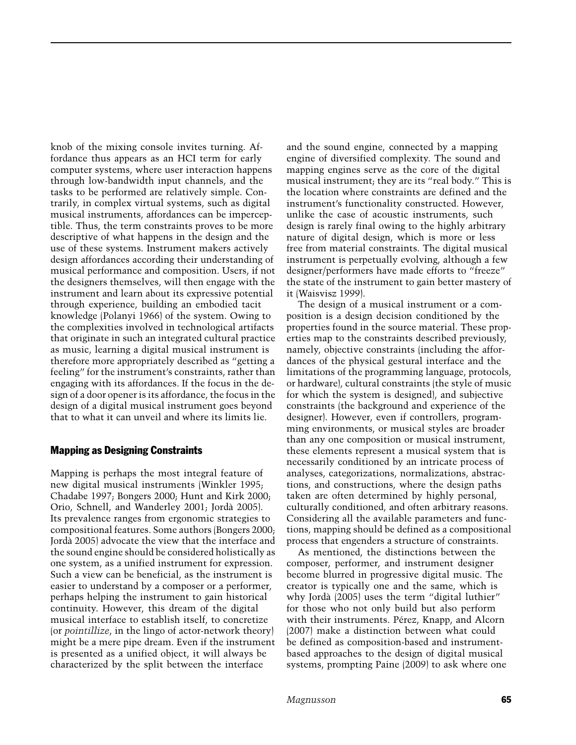knob of the mixing console invites turning. Affordance thus appears as an HCI term for early computer systems, where user interaction happens through low-bandwidth input channels, and the tasks to be performed are relatively simple. Contrarily, in complex virtual systems, such as digital musical instruments, affordances can be imperceptible. Thus, the term constraints proves to be more descriptive of what happens in the design and the use of these systems. Instrument makers actively design affordances according their understanding of musical performance and composition. Users, if not the designers themselves, will then engage with the instrument and learn about its expressive potential through experience, building an embodied tacit knowledge (Polanyi 1966) of the system. Owing to the complexities involved in technological artifacts that originate in such an integrated cultural practice as music, learning a digital musical instrument is therefore more appropriately described as "getting a feeling" for the instrument's constraints, rather than engaging with its affordances. If the focus in the design of a door opener is its affordance, the focus in the design of a digital musical instrument goes beyond that to what it can unveil and where its limits lie.

#### Mapping as Designing Constraints

Mapping is perhaps the most integral feature of new digital musical instruments (Winkler 1995; Chadabe 1997; Bongers 2000; Hunt and Kirk 2000; Orio, Schnell, and Wanderley 2001; Jorda 2005). ` Its prevalence ranges from ergonomic strategies to compositional features. Some authors (Bongers 2000; Jorda 2005) advocate the view that the interface and ` the sound engine should be considered holistically as one system, as a unified instrument for expression. Such a view can be beneficial, as the instrument is easier to understand by a composer or a performer, perhaps helping the instrument to gain historical continuity. However, this dream of the digital musical interface to establish itself, to concretize (or *pointillize*, in the lingo of actor-network theory) might be a mere pipe dream. Even if the instrument is presented as a unified object, it will always be characterized by the split between the interface

and the sound engine, connected by a mapping engine of diversified complexity. The sound and mapping engines serve as the core of the digital musical instrument; they are its "real body." This is the location where constraints are defined and the instrument's functionality constructed. However, unlike the case of acoustic instruments, such design is rarely final owing to the highly arbitrary nature of digital design, which is more or less free from material constraints. The digital musical instrument is perpetually evolving, although a few designer/performers have made efforts to "freeze" the state of the instrument to gain better mastery of it (Waisvisz 1999).

The design of a musical instrument or a composition is a design decision conditioned by the properties found in the source material. These properties map to the constraints described previously, namely, objective constraints (including the affordances of the physical gestural interface and the limitations of the programming language, protocols, or hardware), cultural constraints (the style of music for which the system is designed), and subjective constraints (the background and experience of the designer). However, even if controllers, programming environments, or musical styles are broader than any one composition or musical instrument, these elements represent a musical system that is necessarily conditioned by an intricate process of analyses, categorizations, normalizations, abstractions, and constructions, where the design paths taken are often determined by highly personal, culturally conditioned, and often arbitrary reasons. Considering all the available parameters and functions, mapping should be defined as a compositional process that engenders a structure of constraints.

As mentioned, the distinctions between the composer, performer, and instrument designer become blurred in progressive digital music. The creator is typically one and the same, which is why Jordà (2005) uses the term "digital luthier" for those who not only build but also perform with their instruments. Pérez, Knapp, and Alcorn (2007) make a distinction between what could be defined as composition-based and instrumentbased approaches to the design of digital musical systems, prompting Paine (2009) to ask where one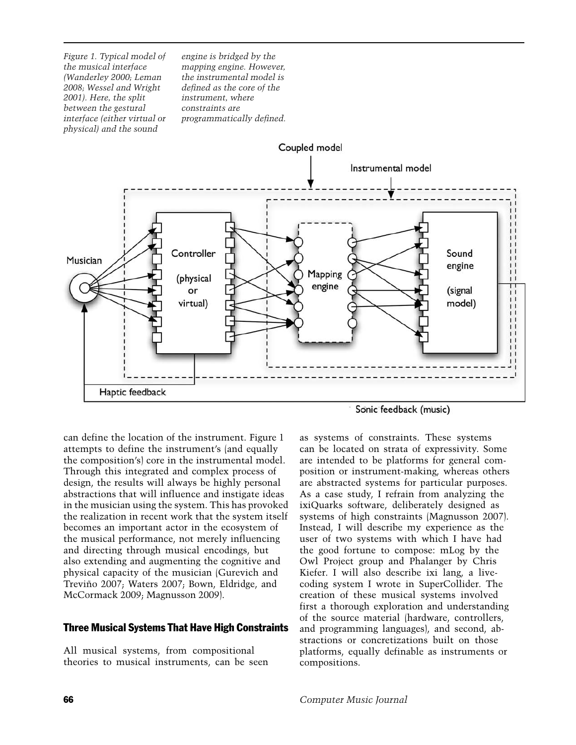*Figure 1. Typical model of the musical interface (Wanderley 2000; Leman 2008; Wessel and Wright 2001). Here, the split between the gestural interface (either virtual or physical) and the sound*

*engine is bridged by the mapping engine. However, the instrumental model is defined as the core of the instrument, where constraints are programmatically defined.*



can define the location of the instrument. Figure 1 attempts to define the instrument's (and equally the composition's) core in the instrumental model. Through this integrated and complex process of design, the results will always be highly personal abstractions that will influence and instigate ideas in the musician using the system. This has provoked the realization in recent work that the system itself becomes an important actor in the ecosystem of the musical performance, not merely influencing and directing through musical encodings, but also extending and augmenting the cognitive and physical capacity of the musician (Gurevich and Treviño 2007; Waters 2007; Bown, Eldridge, and McCormack 2009; Magnusson 2009).

#### Three Musical Systems That Have High Constraints

All musical systems, from compositional theories to musical instruments, can be seen

as systems of constraints. These systems can be located on strata of expressivity. Some are intended to be platforms for general composition or instrument-making, whereas others are abstracted systems for particular purposes. As a case study, I refrain from analyzing the ixiQuarks software, deliberately designed as systems of high constraints (Magnusson 2007). Instead, I will describe my experience as the user of two systems with which I have had the good fortune to compose: mLog by the Owl Project group and Phalanger by Chris Kiefer. I will also describe ixi lang, a livecoding system I wrote in SuperCollider. The creation of these musical systems involved first a thorough exploration and understanding of the source material (hardware, controllers, and programming languages), and second, abstractions or concretizations built on those platforms, equally definable as instruments or compositions.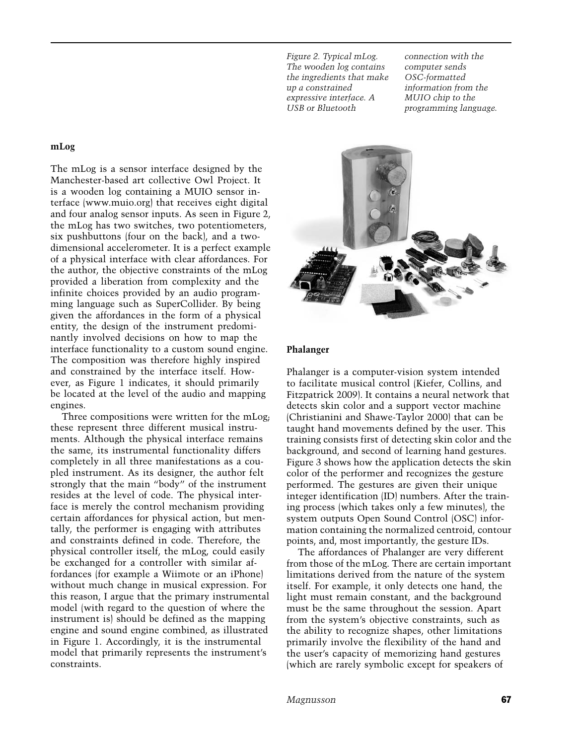*Figure 2. Typical mLog. The wooden log contains the ingredients that make up a constrained expressive interface. A USB or Bluetooth*

*connection with the computer sends OSC-formatted information from the MUIO chip to the programming language.*

#### **mLog**

The mLog is a sensor interface designed by the Manchester-based art collective Owl Project. It is a wooden log containing a MUIO sensor interface [\(www.muio.org\)](http://www.muio.org) that receives eight digital and four analog sensor inputs. As seen in Figure 2, the mLog has two switches, two potentiometers, six pushbuttons (four on the back), and a twodimensional accelerometer. It is a perfect example of a physical interface with clear affordances. For the author, the objective constraints of the mLog provided a liberation from complexity and the infinite choices provided by an audio programming language such as SuperCollider. By being given the affordances in the form of a physical entity, the design of the instrument predominantly involved decisions on how to map the interface functionality to a custom sound engine. The composition was therefore highly inspired and constrained by the interface itself. However, as Figure 1 indicates, it should primarily be located at the level of the audio and mapping engines.

Three compositions were written for the mLog; these represent three different musical instruments. Although the physical interface remains the same, its instrumental functionality differs completely in all three manifestations as a coupled instrument. As its designer, the author felt strongly that the main "body" of the instrument resides at the level of code. The physical interface is merely the control mechanism providing certain affordances for physical action, but mentally, the performer is engaging with attributes and constraints defined in code. Therefore, the physical controller itself, the mLog, could easily be exchanged for a controller with similar affordances (for example a Wiimote or an iPhone) without much change in musical expression. For this reason, I argue that the primary instrumental model (with regard to the question of where the instrument is) should be defined as the mapping engine and sound engine combined, as illustrated in Figure 1. Accordingly, it is the instrumental model that primarily represents the instrument's constraints.

#### **Phalanger**

Phalanger is a computer-vision system intended to facilitate musical control (Kiefer, Collins, and Fitzpatrick 2009). It contains a neural network that detects skin color and a support vector machine (Christianini and Shawe-Taylor 2000) that can be taught hand movements defined by the user. This training consists first of detecting skin color and the background, and second of learning hand gestures. Figure 3 shows how the application detects the skin color of the performer and recognizes the gesture performed. The gestures are given their unique integer identification (ID) numbers. After the training process (which takes only a few minutes), the system outputs Open Sound Control (OSC) information containing the normalized centroid, contour points, and, most importantly, the gesture IDs.

The affordances of Phalanger are very different from those of the mLog. There are certain important limitations derived from the nature of the system itself. For example, it only detects one hand, the light must remain constant, and the background must be the same throughout the session. Apart from the system's objective constraints, such as the ability to recognize shapes, other limitations primarily involve the flexibility of the hand and the user's capacity of memorizing hand gestures (which are rarely symbolic except for speakers of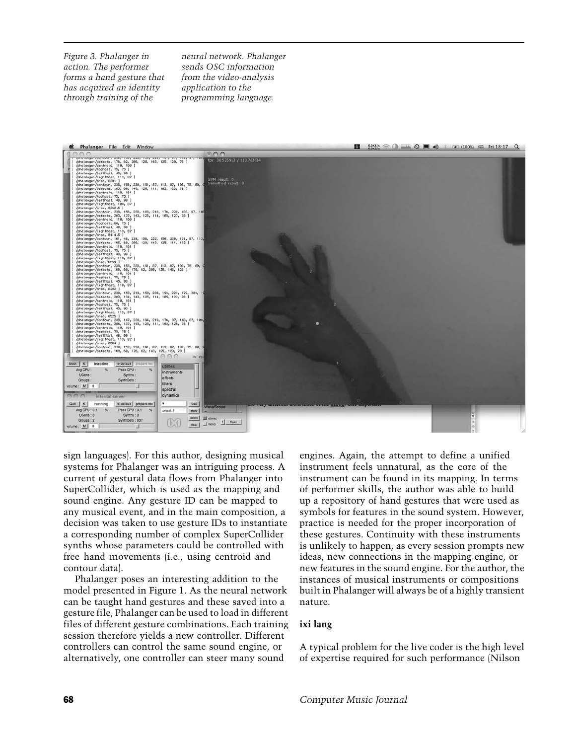*Figure 3. Phalanger in action. The performer forms a hand gesture that has acquired an identity through training of the*

*neural network. Phalanger sends OSC information from the video-analysis application to the programming language.*

| AA<br>m o<br>/photonger/contour, 200, 100, 222, 100, 200, 191, 07, 110, 07, 100,<br>fps: 30.525913 / 113.763634<br>/phalanger/defects, 176, 62, 200, 128, 143, 125, 120, 78 ]<br>/phalanger/centroid, 110, 160 ]<br>/phaianger/tophost, 75, 75 ]<br>/phaianger/lefthost, 48, 90 ]<br>/phalanger/rightHost, 113, 87 ]<br>SVM result: 0<br>/phalanger/area, 8301 ]<br>Smoothed result: 0<br>/phalanger/contour, 238, 156, 236, 191, 87, 113, 87, 188, 75, 88, 9<br>phalanger/defects, 165, 60, 149, 128, 111, 102, 123, 78 ]<br>/phalanger/centroid, 110, 161 ]<br>/phalanger/tophost, 75, 75 ]<br>/phalanger/lefthost, 40, 90 ]<br>/phalanger/righthost, 188, 87  <br>/phalanger/area, 8262.5 ]<br>/phalanger/contour, 238, 156, 238, 188, 218, 176, 228, 188, 87, 188<br>phalanger/defects, 203, 137, 143, 125, 114, 105, 123, 78 ]<br>/phalanger/centroid, 110, 160  <br>/phalanger/tophost, 80, 75 ]<br>/phalanger/lefthost, 48, 90 ]<br>/phalanger/rightMost, 113, 87 ]<br>/phalanger/area, 8414.5 ]<br>/phalanger/contour, 161, 48, 238, 156, 222, 158, 238, 191, 87, 113,<br>/phalanger/defects, 165, 60, 200, 120, 143, 125, 111, 102 ]<br>/phalanger/centroid, 110, 161 ]<br>phalanger/tophost, 75, 75  <br>/phalanger/lefthost, 48, 98 ]<br>/phalanger/rightMost, 113, 87 ]<br>phalanger/area, 8559  <br>/phalanger/contour, 238, 153, 238, 191, 87, 113, 87, 108, 75, 80,<br>/phalanger/defects, 168, 60, 176, 62, 200, 128, 143, 125 ]<br>/phalanger/centroid, 110, 161 ]<br>/phalanger/tophost, 75, 75 ]<br>/phalanger/lefthost, 45, 93 ]<br>/phalanger/rightNost, 110, 87 ]<br>phalanger/area, 8282 ]<br>/phalanger/contour, 238, 153, 219, 158, 238, 194, 224, 179, 231, 19<br>phalanger/defects, 203, 134, 143, 125, 114, 105, 123, 78 ]<br>/phalanger/centroid, 118, 161 ]<br>/phalonger/tophost, 75, 75  <br>/phalanger/lefthost, 45, 93 ]<br>/phalanger/rightHost, 113, 87 ]<br>/phalanger/area, 8525  <br>/phalanger/contour, 238, 147, 238, 194, 218, 176, 87, 113, 87, 188,<br>/phalanger/defects, 206, 137, 143, 125, 111, 102, 126, 78 ]<br>/phalanger/centroid, 118, 161  <br>/pholonger/tophost, 75, 75 ]<br>phalanger/lefthost, 48, 98 ]<br>/phalanger/rightMost, 113, 87 ]<br>/phalanger/area, 8504  <br>/phalanger/contour, 238, 153, 238, 191, 87, 113, 87, 108, 75, 88, 9<br>/phalanger/defects, 168, 60, 176, 62, 143, 125, 123, 78 ]<br>eeo<br>ixi qu<br>Boot   K<br>Inactive<br>o detaut prepare rec<br>utilities<br>Avg CPU<br>Poak CPU:<br>$\mathcal{H}$<br>instruments<br>UGens:<br>Synths :<br>effects<br>SynthDefs:<br>Groups:<br>filters<br>Volume : M<br>spectral<br>dynamics<br>internal server<br>o default prepare rec<br>۰<br>load<br>Quit K<br>running<br><b>WaveScope</b><br>Avg CPU: 0.1 %<br>Peak CPU: 0.1 %<br>preset.1<br>store<br>UGens: 0<br>Synths: 0<br>delate<br>El stereo<br>Groups: 2<br>SynthDofs: 837<br>Open<br>$\Box$ mono<br>clear.<br>0   M : whutov | Phalanger File Edit Window | 亞 | $0.088/5$ $\odot$ $\cdots$ $\odot$ $\blacksquare$ $\spadesuit$ $\spadesuit$ $\Box$ (100%) $\uplus$ Fri 18:17 Q |  |
|--------------------------------------------------------------------------------------------------------------------------------------------------------------------------------------------------------------------------------------------------------------------------------------------------------------------------------------------------------------------------------------------------------------------------------------------------------------------------------------------------------------------------------------------------------------------------------------------------------------------------------------------------------------------------------------------------------------------------------------------------------------------------------------------------------------------------------------------------------------------------------------------------------------------------------------------------------------------------------------------------------------------------------------------------------------------------------------------------------------------------------------------------------------------------------------------------------------------------------------------------------------------------------------------------------------------------------------------------------------------------------------------------------------------------------------------------------------------------------------------------------------------------------------------------------------------------------------------------------------------------------------------------------------------------------------------------------------------------------------------------------------------------------------------------------------------------------------------------------------------------------------------------------------------------------------------------------------------------------------------------------------------------------------------------------------------------------------------------------------------------------------------------------------------------------------------------------------------------------------------------------------------------------------------------------------------------------------------------------------------------------------------------------------------------------------------------------------------------------------------------------------------------------------------------------------------------------------------------------------------------------------------------------------------------------------------------------------------------------------------------------------------------------------------------------------------------------------------------------------------------------------------------------------------|----------------------------|---|----------------------------------------------------------------------------------------------------------------|--|
|                                                                                                                                                                                                                                                                                                                                                                                                                                                                                                                                                                                                                                                                                                                                                                                                                                                                                                                                                                                                                                                                                                                                                                                                                                                                                                                                                                                                                                                                                                                                                                                                                                                                                                                                                                                                                                                                                                                                                                                                                                                                                                                                                                                                                                                                                                                                                                                                                                                                                                                                                                                                                                                                                                                                                                                                                                                                                                                    |                            |   |                                                                                                                |  |
|                                                                                                                                                                                                                                                                                                                                                                                                                                                                                                                                                                                                                                                                                                                                                                                                                                                                                                                                                                                                                                                                                                                                                                                                                                                                                                                                                                                                                                                                                                                                                                                                                                                                                                                                                                                                                                                                                                                                                                                                                                                                                                                                                                                                                                                                                                                                                                                                                                                                                                                                                                                                                                                                                                                                                                                                                                                                                                                    |                            |   |                                                                                                                |  |
|                                                                                                                                                                                                                                                                                                                                                                                                                                                                                                                                                                                                                                                                                                                                                                                                                                                                                                                                                                                                                                                                                                                                                                                                                                                                                                                                                                                                                                                                                                                                                                                                                                                                                                                                                                                                                                                                                                                                                                                                                                                                                                                                                                                                                                                                                                                                                                                                                                                                                                                                                                                                                                                                                                                                                                                                                                                                                                                    |                            |   |                                                                                                                |  |
|                                                                                                                                                                                                                                                                                                                                                                                                                                                                                                                                                                                                                                                                                                                                                                                                                                                                                                                                                                                                                                                                                                                                                                                                                                                                                                                                                                                                                                                                                                                                                                                                                                                                                                                                                                                                                                                                                                                                                                                                                                                                                                                                                                                                                                                                                                                                                                                                                                                                                                                                                                                                                                                                                                                                                                                                                                                                                                                    |                            |   |                                                                                                                |  |
|                                                                                                                                                                                                                                                                                                                                                                                                                                                                                                                                                                                                                                                                                                                                                                                                                                                                                                                                                                                                                                                                                                                                                                                                                                                                                                                                                                                                                                                                                                                                                                                                                                                                                                                                                                                                                                                                                                                                                                                                                                                                                                                                                                                                                                                                                                                                                                                                                                                                                                                                                                                                                                                                                                                                                                                                                                                                                                                    |                            |   |                                                                                                                |  |
|                                                                                                                                                                                                                                                                                                                                                                                                                                                                                                                                                                                                                                                                                                                                                                                                                                                                                                                                                                                                                                                                                                                                                                                                                                                                                                                                                                                                                                                                                                                                                                                                                                                                                                                                                                                                                                                                                                                                                                                                                                                                                                                                                                                                                                                                                                                                                                                                                                                                                                                                                                                                                                                                                                                                                                                                                                                                                                                    |                            |   |                                                                                                                |  |
|                                                                                                                                                                                                                                                                                                                                                                                                                                                                                                                                                                                                                                                                                                                                                                                                                                                                                                                                                                                                                                                                                                                                                                                                                                                                                                                                                                                                                                                                                                                                                                                                                                                                                                                                                                                                                                                                                                                                                                                                                                                                                                                                                                                                                                                                                                                                                                                                                                                                                                                                                                                                                                                                                                                                                                                                                                                                                                                    |                            |   |                                                                                                                |  |
|                                                                                                                                                                                                                                                                                                                                                                                                                                                                                                                                                                                                                                                                                                                                                                                                                                                                                                                                                                                                                                                                                                                                                                                                                                                                                                                                                                                                                                                                                                                                                                                                                                                                                                                                                                                                                                                                                                                                                                                                                                                                                                                                                                                                                                                                                                                                                                                                                                                                                                                                                                                                                                                                                                                                                                                                                                                                                                                    |                            |   |                                                                                                                |  |
|                                                                                                                                                                                                                                                                                                                                                                                                                                                                                                                                                                                                                                                                                                                                                                                                                                                                                                                                                                                                                                                                                                                                                                                                                                                                                                                                                                                                                                                                                                                                                                                                                                                                                                                                                                                                                                                                                                                                                                                                                                                                                                                                                                                                                                                                                                                                                                                                                                                                                                                                                                                                                                                                                                                                                                                                                                                                                                                    |                            |   |                                                                                                                |  |
|                                                                                                                                                                                                                                                                                                                                                                                                                                                                                                                                                                                                                                                                                                                                                                                                                                                                                                                                                                                                                                                                                                                                                                                                                                                                                                                                                                                                                                                                                                                                                                                                                                                                                                                                                                                                                                                                                                                                                                                                                                                                                                                                                                                                                                                                                                                                                                                                                                                                                                                                                                                                                                                                                                                                                                                                                                                                                                                    |                            |   |                                                                                                                |  |

sign languages). For this author, designing musical systems for Phalanger was an intriguing process. A current of gestural data flows from Phalanger into SuperCollider, which is used as the mapping and sound engine. Any gesture ID can be mapped to any musical event, and in the main composition, a decision was taken to use gesture IDs to instantiate a corresponding number of complex SuperCollider synths whose parameters could be controlled with free hand movements (i.e., using centroid and contour data).

Phalanger poses an interesting addition to the model presented in Figure 1. As the neural network can be taught hand gestures and these saved into a gesture file, Phalanger can be used to load in different files of different gesture combinations. Each training session therefore yields a new controller. Different controllers can control the same sound engine, or alternatively, one controller can steer many sound

engines. Again, the attempt to define a unified instrument feels unnatural, as the core of the instrument can be found in its mapping. In terms of performer skills, the author was able to build up a repository of hand gestures that were used as symbols for features in the sound system. However, practice is needed for the proper incorporation of these gestures. Continuity with these instruments is unlikely to happen, as every session prompts new ideas, new connections in the mapping engine, or new features in the sound engine. For the author, the instances of musical instruments or compositions built in Phalanger will always be of a highly transient nature.

#### **ixi lang**

A typical problem for the live coder is the high level of expertise required for such performance (Nilson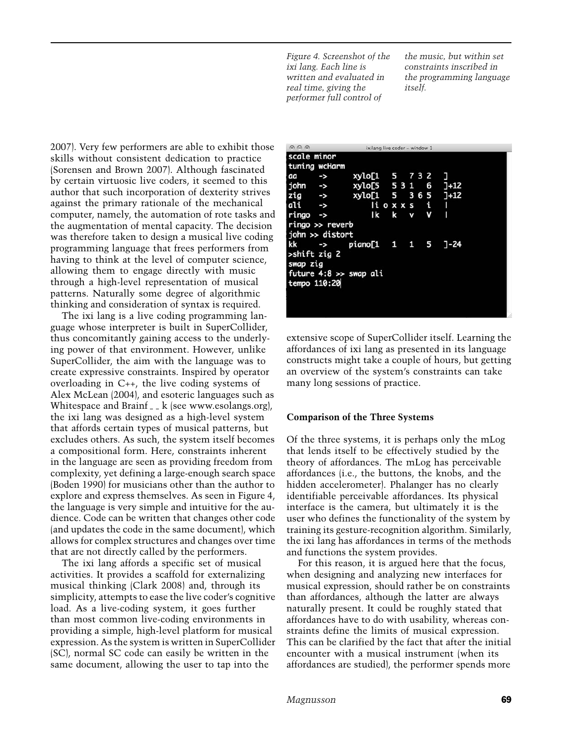*Figure 4. Screenshot of the ixi lang. Each line is written and evaluated in real time, giving the performer full control of*

*the music, but within set constraints inscribed in the programming language itself.*

2007). Very few performers are able to exhibit those skills without consistent dedication to practice (Sorensen and Brown 2007). Although fascinated by certain virtuosic live coders, it seemed to this author that such incorporation of dexterity strives against the primary rationale of the mechanical computer, namely, the automation of rote tasks and the augmentation of mental capacity. The decision was therefore taken to design a musical live coding programming language that frees performers from having to think at the level of computer science, allowing them to engage directly with music through a high-level representation of musical patterns. Naturally some degree of algorithmic thinking and consideration of syntax is required.

The ixi lang is a live coding programming language whose interpreter is built in SuperCollider, thus concomitantly gaining access to the underlying power of that environment. However, unlike SuperCollider, the aim with the language was to create expressive constraints. Inspired by operator overloading in C++, the live coding systems of Alex McLean (2004), and esoteric languages such as Whitespace and Brainf  $\overline{A}$  k (see [www.esolangs.org\)](http://www.esolangs.org), the ixi lang was designed as a high-level system that affords certain types of musical patterns, but excludes others. As such, the system itself becomes a compositional form. Here, constraints inherent in the language are seen as providing freedom from complexity, yet defining a large-enough search space (Boden 1990) for musicians other than the author to explore and express themselves. As seen in Figure 4, the language is very simple and intuitive for the audience. Code can be written that changes other code (and updates the code in the same document), which allows for complex structures and changes over time that are not directly called by the performers.

The ixi lang affords a specific set of musical activities. It provides a scaffold for externalizing musical thinking (Clark 2008) and, through its simplicity, attempts to ease the live coder's cognitive load. As a live-coding system, it goes further than most common live-coding environments in providing a simple, high-level platform for musical expression. As the system is written in SuperCollider (SC), normal SC code can easily be written in the same document, allowing the user to tap into the

| $\odot$ $\odot$ $\odot$ |                    | ixilang live coder - window 1 |   |   |   |     |          |  |
|-------------------------|--------------------|-------------------------------|---|---|---|-----|----------|--|
| scale minor             |                    |                               |   |   |   |     |          |  |
|                         | tuning wcHarm      |                               |   |   |   |     |          |  |
| aa                      | ->                 | xylo[1 5 7 3 2                |   |   |   |     |          |  |
| john ->                 |                    | xylo[5 531                    |   |   |   | 6   | $1+12$   |  |
| zig                     | $\rightarrow$      | xylo[1 5                      |   |   |   | 365 | $J+12$   |  |
| ali                     | $\rightarrow$      | li o x x s                    |   |   | t |     | ı        |  |
| ringo                   | ->                 | Ik                            | k | v |   | v   | ı        |  |
|                         | $ringo \gg$ reverb |                               |   |   |   |     |          |  |
|                         | john >> distort    |                               |   |   |   |     |          |  |
| kk                      | ->                 | piano[1  1  1  5              |   |   |   |     | $7 - 24$ |  |
| >shift zig 2            |                    |                               |   |   |   |     |          |  |
| swap zig                |                    |                               |   |   |   |     |          |  |
|                         |                    | future $4:8 \gg$ swap ali     |   |   |   |     |          |  |
| tempo 110:20            |                    |                               |   |   |   |     |          |  |
|                         |                    |                               |   |   |   |     |          |  |
|                         |                    |                               |   |   |   |     |          |  |

extensive scope of SuperCollider itself. Learning the affordances of ixi lang as presented in its language constructs might take a couple of hours, but getting an overview of the system's constraints can take many long sessions of practice.

#### **Comparison of the Three Systems**

Of the three systems, it is perhaps only the mLog that lends itself to be effectively studied by the theory of affordances. The mLog has perceivable affordances (i.e., the buttons, the knobs, and the hidden accelerometer). Phalanger has no clearly identifiable perceivable affordances. Its physical interface is the camera, but ultimately it is the user who defines the functionality of the system by training its gesture-recognition algorithm. Similarly, the ixi lang has affordances in terms of the methods and functions the system provides.

For this reason, it is argued here that the focus, when designing and analyzing new interfaces for musical expression, should rather be on constraints than affordances, although the latter are always naturally present. It could be roughly stated that affordances have to do with usability, whereas constraints define the limits of musical expression. This can be clarified by the fact that after the initial encounter with a musical instrument (when its affordances are studied), the performer spends more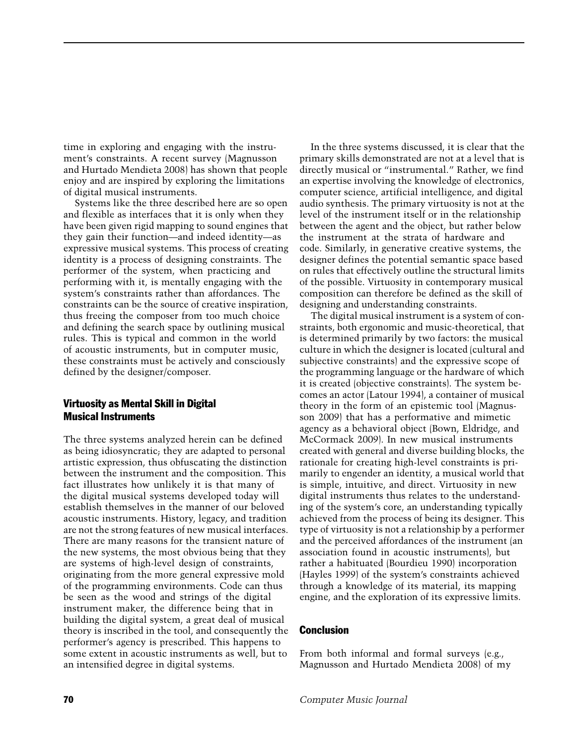time in exploring and engaging with the instrument's constraints. A recent survey (Magnusson and Hurtado Mendieta 2008) has shown that people enjoy and are inspired by exploring the limitations of digital musical instruments.

Systems like the three described here are so open and flexible as interfaces that it is only when they have been given rigid mapping to sound engines that they gain their function—and indeed identity—as expressive musical systems. This process of creating identity is a process of designing constraints. The performer of the system, when practicing and performing with it, is mentally engaging with the system's constraints rather than affordances. The constraints can be the source of creative inspiration, thus freeing the composer from too much choice and defining the search space by outlining musical rules. This is typical and common in the world of acoustic instruments, but in computer music, these constraints must be actively and consciously defined by the designer/composer.

#### Virtuosity as Mental Skill in Digital Musical Instruments

The three systems analyzed herein can be defined as being idiosyncratic; they are adapted to personal artistic expression, thus obfuscating the distinction between the instrument and the composition. This fact illustrates how unlikely it is that many of the digital musical systems developed today will establish themselves in the manner of our beloved acoustic instruments. History, legacy, and tradition are not the strong features of new musical interfaces. There are many reasons for the transient nature of the new systems, the most obvious being that they are systems of high-level design of constraints, originating from the more general expressive mold of the programming environments. Code can thus be seen as the wood and strings of the digital instrument maker, the difference being that in building the digital system, a great deal of musical theory is inscribed in the tool, and consequently the performer's agency is prescribed. This happens to some extent in acoustic instruments as well, but to an intensified degree in digital systems.

In the three systems discussed, it is clear that the primary skills demonstrated are not at a level that is directly musical or "instrumental." Rather, we find an expertise involving the knowledge of electronics, computer science, artificial intelligence, and digital audio synthesis. The primary virtuosity is not at the level of the instrument itself or in the relationship between the agent and the object, but rather below the instrument at the strata of hardware and code. Similarly, in generative creative systems, the designer defines the potential semantic space based on rules that effectively outline the structural limits of the possible. Virtuosity in contemporary musical composition can therefore be defined as the skill of designing and understanding constraints.

The digital musical instrument is a system of constraints, both ergonomic and music-theoretical, that is determined primarily by two factors: the musical culture in which the designer is located (cultural and subjective constraints) and the expressive scope of the programming language or the hardware of which it is created (objective constraints). The system becomes an actor (Latour 1994), a container of musical theory in the form of an epistemic tool (Magnusson 2009) that has a performative and mimetic agency as a behavioral object (Bown, Eldridge, and McCormack 2009). In new musical instruments created with general and diverse building blocks, the rationale for creating high-level constraints is primarily to engender an identity, a musical world that is simple, intuitive, and direct. Virtuosity in new digital instruments thus relates to the understanding of the system's core, an understanding typically achieved from the process of being its designer. This type of virtuosity is not a relationship by a performer and the perceived affordances of the instrument (an association found in acoustic instruments), but rather a habituated (Bourdieu 1990) incorporation (Hayles 1999) of the system's constraints achieved through a knowledge of its material, its mapping engine, and the exploration of its expressive limits.

#### **Conclusion**

From both informal and formal surveys (e.g., Magnusson and Hurtado Mendieta 2008) of my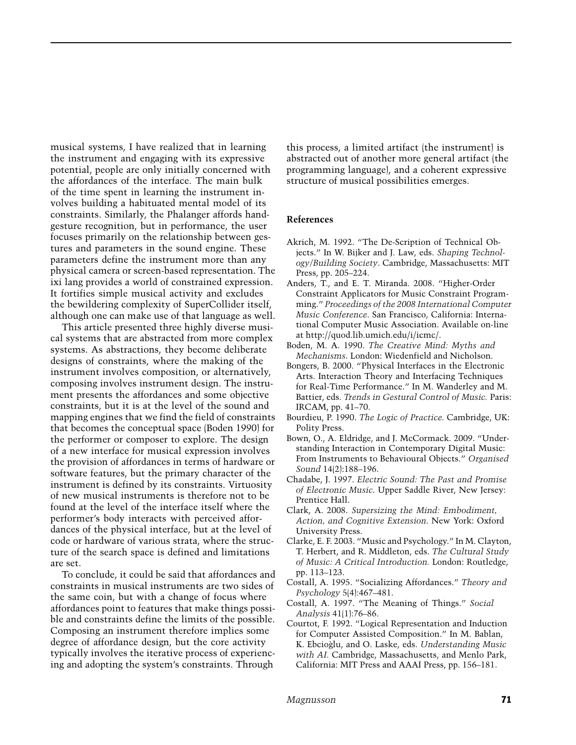musical systems, I have realized that in learning the instrument and engaging with its expressive potential, people are only initially concerned with the affordances of the interface. The main bulk of the time spent in learning the instrument involves building a habituated mental model of its constraints. Similarly, the Phalanger affords handgesture recognition, but in performance, the user focuses primarily on the relationship between gestures and parameters in the sound engine. These parameters define the instrument more than any physical camera or screen-based representation. The ixi lang provides a world of constrained expression. It fortifies simple musical activity and excludes the bewildering complexity of SuperCollider itself, although one can make use of that language as well.

This article presented three highly diverse musical systems that are abstracted from more complex systems. As abstractions, they become deliberate designs of constraints, where the making of the instrument involves composition, or alternatively, composing involves instrument design. The instrument presents the affordances and some objective constraints, but it is at the level of the sound and mapping engines that we find the field of constraints that becomes the conceptual space (Boden 1990) for the performer or composer to explore. The design of a new interface for musical expression involves the provision of affordances in terms of hardware or software features, but the primary character of the instrument is defined by its constraints. Virtuosity of new musical instruments is therefore not to be found at the level of the interface itself where the performer's body interacts with perceived affordances of the physical interface, but at the level of code or hardware of various strata, where the structure of the search space is defined and limitations are set.

To conclude, it could be said that affordances and constraints in musical instruments are two sides of the same coin, but with a change of focus where affordances point to features that make things possible and constraints define the limits of the possible. Composing an instrument therefore implies some degree of affordance design, but the core activity typically involves the iterative process of experiencing and adopting the system's constraints. Through

this process, a limited artifact (the instrument) is abstracted out of another more general artifact (the programming language), and a coherent expressive structure of musical possibilities emerges.

#### **References**

- Akrich, M. 1992. "The De-Scription of Technical Objects." In W. Bijker and J. Law, eds. *Shaping Technology/Building Society*. Cambridge, Massachusetts: MIT Press, pp. 205–224.
- Anders, T., and E. T. Miranda. 2008. "Higher-Order Constraint Applicators for Music Constraint Programming." *Proceedings of the 2008 International Computer Music Conference*. San Francisco, California: International Computer Music Association. Available on-line at [http://quod.lib.umich.edu/i/icmc/.](http://quod.lib.umich.edu/i/icmc/)
- Boden, M. A. 1990. *The Creative Mind: Myths and Mechanisms*. London: Wiedenfield and Nicholson.
- Bongers, B. 2000. "Physical Interfaces in the Electronic Arts. Interaction Theory and Interfacing Techniques for Real-Time Performance." In M. Wanderley and M. Battier, eds. *Trends in Gestural Control of Music.* Paris: IRCAM, pp. 41–70.
- Bourdieu, P. 1990. *The Logic of Practice.* Cambridge, UK: Polity Press.
- Bown, O., A. Eldridge, and J. McCormack. 2009. "Understanding Interaction in Contemporary Digital Music: From Instruments to Behavioural Objects." *Organised Sound* 14(2):188–196.
- Chadabe, J. 1997. *Electric Sound: The Past and Promise of Electronic Music*. Upper Saddle River, New Jersey: Prentice Hall.
- Clark, A. 2008. *Supersizing the Mind: Embodiment, Action, and Cognitive Extension*. New York: Oxford University Press.
- Clarke, E. F. 2003. "Music and Psychology." In M. Clayton, T. Herbert, and R. Middleton, eds. *The Cultural Study of Music: A Critical Introduction.* London: Routledge, pp. 113–123.
- Costall, A. 1995. "Socializing Affordances." *Theory and Psychology* 5(4):467–481.
- Costall, A. 1997. "The Meaning of Things." *Social Analysis* 41(1):76–86.
- Courtot, F. 1992. "Logical Representation and Induction for Computer Assisted Composition." In M. Bablan, K. Ebcioglu, and O. Laske, eds. ` *Understanding Music with AI.* Cambridge, Massachusetts, and Menlo Park, California: MIT Press and AAAI Press, pp. 156–181.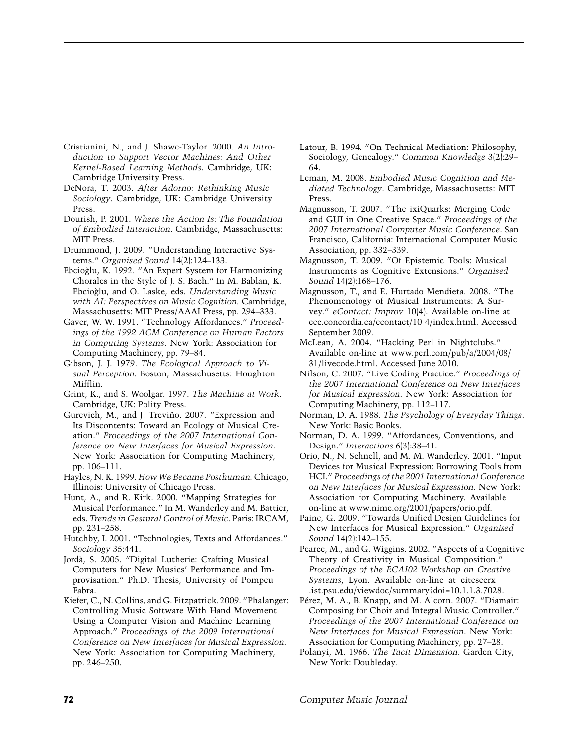- Cristianini, N., and J. Shawe-Taylor. 2000. *An Introduction to Support Vector Machines: And Other Kernel-Based Learning Methods*. Cambridge, UK: Cambridge University Press.
- DeNora, T. 2003. *After Adorno: Rethinking Music Sociology*. Cambridge, UK: Cambridge University Press.
- Dourish, P. 2001. *Where the Action Is: The Foundation of Embodied Interaction*. Cambridge, Massachusetts: MIT Press.
- Drummond, J. 2009. "Understanding Interactive Systems." *Organised Sound* 14(2):124–133.
- Ebcioglu, K. 1992. "An Expert System for Harmonizing ` Chorales in the Style of J. S. Bach." In M. Bablan, K. Ebcioglu, and O. Laske, eds. ` *Understanding Music with AI: Perspectives on Music Cognition.* Cambridge, Massachusetts: MIT Press/AAAI Press, pp. 294–333.
- Gaver, W. W. 1991. "Technology Affordances." *Proceedings of the 1992 ACM Conference on Human Factors in Computing Systems*. New York: Association for Computing Machinery, pp. 79–84.
- Gibson, J. J. 1979. *The Ecological Approach to Visual Perception*. Boston, Massachusetts: Houghton Mifflin.
- Grint, K., and S. Woolgar. 1997. *The Machine at Work*. Cambridge, UK: Polity Press.
- Gurevich, M., and J. Treviño. 2007. "Expression and Its Discontents: Toward an Ecology of Musical Creation." *Proceedings of the 2007 International Conference on New Interfaces for Musical Expression*. New York: Association for Computing Machinery, pp. 106–111.
- Hayles, N. K. 1999. *How We Became Posthuman.* Chicago, Illinois: University of Chicago Press.
- Hunt, A., and R. Kirk. 2000. "Mapping Strategies for Musical Performance." In M. Wanderley and M. Battier, eds. *Trends in Gestural Control of Music*. Paris: IRCAM, pp. 231–258.
- Hutchby, I. 2001. "Technologies, Texts and Affordances." *Sociology* 35:441.
- Jorda, S. 2005. "Digital Lutherie: Crafting Musical ` Computers for New Musics' Performance and Improvisation." Ph.D. Thesis, University of Pompeu Fabra.
- Kiefer, C., N. Collins, and G. Fitzpatrick. 2009. "Phalanger: Controlling Music Software With Hand Movement Using a Computer Vision and Machine Learning Approach." *Proceedings of the 2009 International Conference on New Interfaces for Musical Expression*. New York: Association for Computing Machinery, pp. 246–250.
- Latour, B. 1994. "On Technical Mediation: Philosophy, Sociology, Genealogy." *Common Knowledge* 3(2):29– 64.
- Leman, M. 2008. *Embodied Music Cognition and Mediated Technology*. Cambridge, Massachusetts: MIT Press.
- Magnusson, T. 2007. "The ixiQuarks: Merging Code and GUI in One Creative Space." *Proceedings of the 2007 International Computer Music Conference*. San Francisco, California: International Computer Music Association, pp. 332–339.
- Magnusson, T. 2009. "Of Epistemic Tools: Musical Instruments as Cognitive Extensions." *Organised Sound* 14(2):168–176.
- Magnusson, T., and E. Hurtado Mendieta. 2008. "The Phenomenology of Musical Instruments: A Survey." *eContact: Improv* 10(4). Available on-line at cec.concordia.ca/econtact/10 4/index.html. Accessed September 2009.
- McLean, A. 2004. "Hacking Perl in Nightclubs." Available on-line at www.perl.com/pub/a/2004/08/ 31/livecode.html. Accessed June 2010.
- Nilson, C. 2007. "Live Coding Practice." *Proceedings of the 2007 International Conference on New Interfaces for Musical Expression*. New York: Association for Computing Machinery, pp. 112–117.
- Norman, D. A. 1988. *The Psychology of Everyday Things*. New York: Basic Books.
- Norman, D. A. 1999. "Affordances, Conventions, and Design." *Interactions* 6(3):38–41.
- Orio, N., N. Schnell, and M. M. Wanderley. 2001. "Input Devices for Musical Expression: Borrowing Tools from HCI." *Proceedings of the 2001 International Conference on New Interfaces for Musical Expression*. New York: Association for Computing Machinery. Available on-line at [www.nime.org/2001/papers/orio.pdf.](http://www.nime.org/2001/papers/orio.pdf)
- Paine, G. 2009. "Towards Unified Design Guidelines for New Interfaces for Musical Expression." *Organised Sound* 14(2):142–155.
- Pearce, M., and G. Wiggins. 2002. "Aspects of a Cognitive Theory of Creativity in Musical Composition." *Proceedings of the ECAI02 Workshop on Creative Systems*, Lyon. Available on-line at citeseerx .ist.psu.edu/viewdoc/summary?doi=10.1.1.3.7028.
- Pérez, M. A., B. Knapp, and M. Alcorn. 2007. "Diamair: Composing for Choir and Integral Music Controller." *Proceedings of the 2007 International Conference on New Interfaces for Musical Expression*. New York: Association for Computing Machinery, pp. 27–28.
- Polanyi, M. 1966. *The Tacit Dimension*. Garden City, New York: Doubleday.